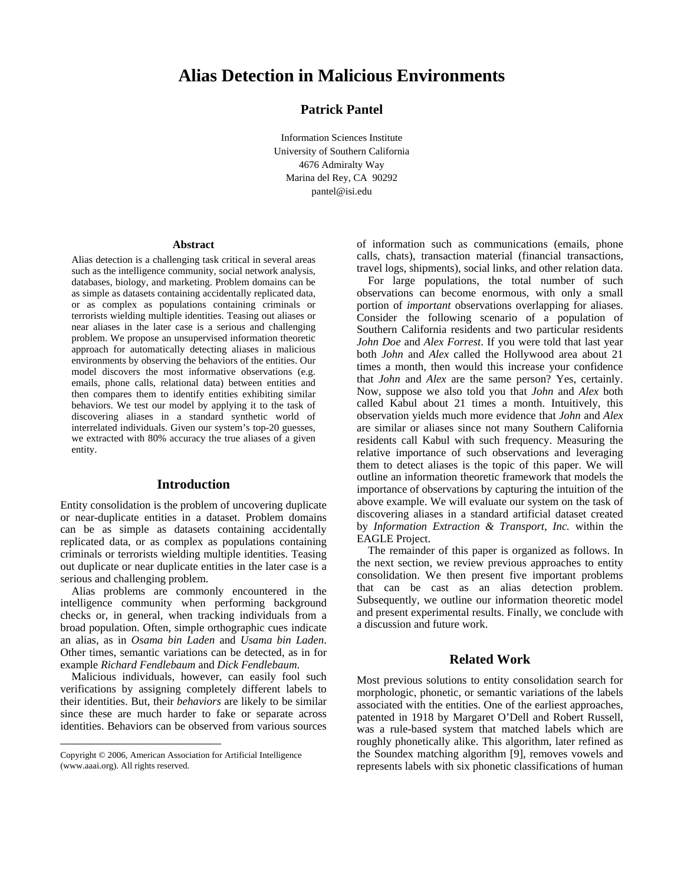# **Alias Detection in Malicious Environments**

# **Patrick Pantel**

Information Sciences Institute University of Southern California 4676 Admiralty Way Marina del Rey, CA 90292 pantel@isi.edu

#### **Abstract**

Alias detection is a challenging task critical in several areas such as the intelligence community, social network analysis, databases, biology, and marketing. Problem domains can be as simple as datasets containing accidentally replicated data, or as complex as populations containing criminals or terrorists wielding multiple identities. Teasing out aliases or near aliases in the later case is a serious and challenging problem. We propose an unsupervised information theoretic approach for automatically detecting aliases in malicious environments by observing the behaviors of the entities. Our model discovers the most informative observations (e.g. emails, phone calls, relational data) between entities and then compares them to identify entities exhibiting similar behaviors. We test our model by applying it to the task of discovering aliases in a standard synthetic world of interrelated individuals. Given our system's top-20 guesses, we extracted with 80% accuracy the true aliases of a given entity.

# **Introduction**

Entity consolidation is the problem of uncovering duplicate or near-duplicate entities in a dataset. Problem domains can be as simple as datasets containing accidentally replicated data, or as complex as populations containing criminals or terrorists wielding multiple identities. Teasing out duplicate or near duplicate entities in the later case is a serious and challenging problem.

Alias problems are commonly encountered in the intelligence community when performing background checks or, in general, when tracking individuals from a broad population. Often, simple orthographic cues indicate an alias, as in *Osama bin Laden* and *Usama bin Laden*. Other times, semantic variations can be detected, as in for example *Richard Fendlebaum* and *Dick Fendlebaum*.

Malicious individuals, however, can easily fool such verifications by assigning completely different labels to their identities. But, their *behaviors* are likely to be similar since these are much harder to fake or separate across identities. Behaviors can be observed from various sources

 $\overline{a}$ 

of information such as communications (emails, phone calls, chats), transaction material (financial transactions, travel logs, shipments), social links, and other relation data.

For large populations, the total number of such observations can become enormous, with only a small portion of *important* observations overlapping for aliases. Consider the following scenario of a population of Southern California residents and two particular residents *John Doe* and *Alex Forrest*. If you were told that last year both *John* and *Alex* called the Hollywood area about 21 times a month, then would this increase your confidence that *John* and *Alex* are the same person? Yes, certainly. Now, suppose we also told you that *John* and *Alex* both called Kabul about 21 times a month. Intuitively, this observation yields much more evidence that *John* and *Alex* are similar or aliases since not many Southern California residents call Kabul with such frequency. Measuring the relative importance of such observations and leveraging them to detect aliases is the topic of this paper. We will outline an information theoretic framework that models the importance of observations by capturing the intuition of the above example. We will evaluate our system on the task of discovering aliases in a standard artificial dataset created by *Information Extraction & Transport, Inc.* within the EAGLE Project.

The remainder of this paper is organized as follows. In the next section, we review previous approaches to entity consolidation. We then present five important problems that can be cast as an alias detection problem. Subsequently, we outline our information theoretic model and present experimental results. Finally, we conclude with a discussion and future work.

### **Related Work**

Most previous solutions to entity consolidation search for morphologic, phonetic, or semantic variations of the labels associated with the entities. One of the earliest approaches, patented in 1918 by Margaret O'Dell and Robert Russell, was a rule-based system that matched labels which are roughly phonetically alike. This algorithm, later refined as the Soundex matching algorithm [9], removes vowels and represents labels with six phonetic classifications of human

Copyright © 2006, American Association for Artificial Intelligence (www.aaai.org). All rights reserved.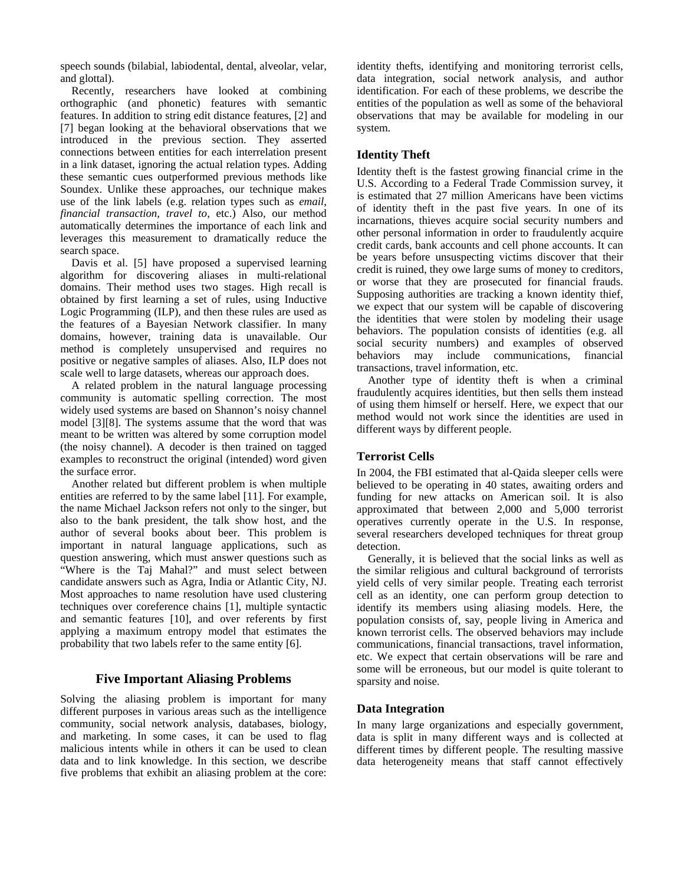speech sounds (bilabial, labiodental, dental, alveolar, velar, and glottal).

Recently, researchers have looked at combining orthographic (and phonetic) features with semantic features. In addition to string edit distance features, [2] and [7] began looking at the behavioral observations that we introduced in the previous section. They asserted connections between entities for each interrelation present in a link dataset, ignoring the actual relation types. Adding these semantic cues outperformed previous methods like Soundex. Unlike these approaches, our technique makes use of the link labels (e.g. relation types such as *email*, *financial transaction*, *travel to*, etc.) Also, our method automatically determines the importance of each link and leverages this measurement to dramatically reduce the search space.

Davis et al. [5] have proposed a supervised learning algorithm for discovering aliases in multi-relational domains. Their method uses two stages. High recall is obtained by first learning a set of rules, using Inductive Logic Programming (ILP), and then these rules are used as the features of a Bayesian Network classifier. In many domains, however, training data is unavailable. Our method is completely unsupervised and requires no positive or negative samples of aliases. Also, ILP does not scale well to large datasets, whereas our approach does.

A related problem in the natural language processing community is automatic spelling correction. The most widely used systems are based on Shannon's noisy channel model [3][8]. The systems assume that the word that was meant to be written was altered by some corruption model (the noisy channel). A decoder is then trained on tagged examples to reconstruct the original (intended) word given the surface error.

Another related but different problem is when multiple entities are referred to by the same label [11]. For example, the name Michael Jackson refers not only to the singer, but also to the bank president, the talk show host, and the author of several books about beer. This problem is important in natural language applications, such as question answering, which must answer questions such as "Where is the Taj Mahal?" and must select between candidate answers such as Agra, India or Atlantic City, NJ. Most approaches to name resolution have used clustering techniques over coreference chains [1], multiple syntactic and semantic features [10], and over referents by first applying a maximum entropy model that estimates the probability that two labels refer to the same entity [6].

# **Five Important Aliasing Problems**

Solving the aliasing problem is important for many different purposes in various areas such as the intelligence community, social network analysis, databases, biology, and marketing. In some cases, it can be used to flag malicious intents while in others it can be used to clean data and to link knowledge. In this section, we describe five problems that exhibit an aliasing problem at the core: identity thefts, identifying and monitoring terrorist cells, data integration, social network analysis, and author identification. For each of these problems, we describe the entities of the population as well as some of the behavioral observations that may be available for modeling in our system.

### **Identity Theft**

Identity theft is the fastest growing financial crime in the U.S. According to a Federal Trade Commission survey, it is estimated that 27 million Americans have been victims of identity theft in the past five years. In one of its incarnations, thieves acquire social security numbers and other personal information in order to fraudulently acquire credit cards, bank accounts and cell phone accounts. It can be years before unsuspecting victims discover that their credit is ruined, they owe large sums of money to creditors, or worse that they are prosecuted for financial frauds. Supposing authorities are tracking a known identity thief, we expect that our system will be capable of discovering the identities that were stolen by modeling their usage behaviors. The population consists of identities (e.g. all social security numbers) and examples of observed behaviors may include communications, financial transactions, travel information, etc.

Another type of identity theft is when a criminal fraudulently acquires identities, but then sells them instead of using them himself or herself. Here, we expect that our method would not work since the identities are used in different ways by different people.

### **Terrorist Cells**

In 2004, the FBI estimated that al-Qaida sleeper cells were believed to be operating in 40 states, awaiting orders and funding for new attacks on American soil. It is also approximated that between 2,000 and 5,000 terrorist operatives currently operate in the U.S. In response, several researchers developed techniques for threat group detection.

Generally, it is believed that the social links as well as the similar religious and cultural background of terrorists yield cells of very similar people. Treating each terrorist cell as an identity, one can perform group detection to identify its members using aliasing models. Here, the population consists of, say, people living in America and known terrorist cells. The observed behaviors may include communications, financial transactions, travel information, etc. We expect that certain observations will be rare and some will be erroneous, but our model is quite tolerant to sparsity and noise.

#### **Data Integration**

In many large organizations and especially government, data is split in many different ways and is collected at different times by different people. The resulting massive data heterogeneity means that staff cannot effectively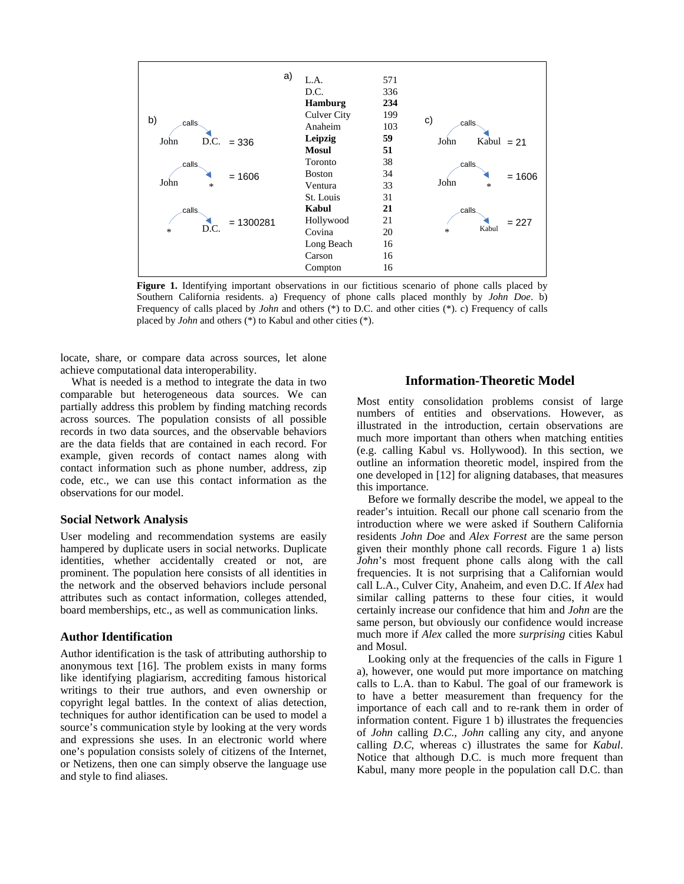

Figure 1. Identifying important observations in our fictitious scenario of phone calls placed by Southern California residents. a) Frequency of phone calls placed monthly by *John Doe*. b) Frequency of calls placed by *John* and others (\*) to D.C. and other cities (\*). c) Frequency of calls placed by *John* and others (\*) to Kabul and other cities (\*).

locate, share, or compare data across sources, let alone achieve computational data interoperability.

What is needed is a method to integrate the data in two comparable but heterogeneous data sources. We can partially address this problem by finding matching records across sources. The population consists of all possible records in two data sources, and the observable behaviors are the data fields that are contained in each record. For example, given records of contact names along with contact information such as phone number, address, zip code, etc., we can use this contact information as the observations for our model.

#### **Social Network Analysis**

User modeling and recommendation systems are easily hampered by duplicate users in social networks. Duplicate identities, whether accidentally created or not, are prominent. The population here consists of all identities in the network and the observed behaviors include personal attributes such as contact information, colleges attended, board memberships, etc., as well as communication links.

### **Author Identification**

Author identification is the task of attributing authorship to anonymous text [16]. The problem exists in many forms like identifying plagiarism, accrediting famous historical writings to their true authors, and even ownership or copyright legal battles. In the context of alias detection, techniques for author identification can be used to model a source's communication style by looking at the very words and expressions she uses. In an electronic world where one's population consists solely of citizens of the Internet, or Netizens, then one can simply observe the language use and style to find aliases.

# **Information-Theoretic Model**

Most entity consolidation problems consist of large numbers of entities and observations. However, as illustrated in the introduction, certain observations are much more important than others when matching entities (e.g. calling Kabul vs. Hollywood). In this section, we outline an information theoretic model, inspired from the one developed in [12] for aligning databases, that measures this importance.

Before we formally describe the model, we appeal to the reader's intuition. Recall our phone call scenario from the introduction where we were asked if Southern California residents *John Doe* and *Alex Forrest* are the same person given their monthly phone call records. Figure 1 a) lists *John*'s most frequent phone calls along with the call frequencies. It is not surprising that a Californian would call L.A., Culver City, Anaheim, and even D.C. If *Alex* had similar calling patterns to these four cities, it would certainly increase our confidence that him and *John* are the same person, but obviously our confidence would increase much more if *Alex* called the more *surprising* cities Kabul and Mosul.

Looking only at the frequencies of the calls in Figure 1 a), however, one would put more importance on matching calls to L.A. than to Kabul. The goal of our framework is to have a better measurement than frequency for the importance of each call and to re-rank them in order of information content. Figure 1 b) illustrates the frequencies of *John* calling *D.C.*, *John* calling any city, and anyone calling *D*.*C*, whereas c) illustrates the same for *Kabul*. Notice that although D.C. is much more frequent than Kabul, many more people in the population call D.C. than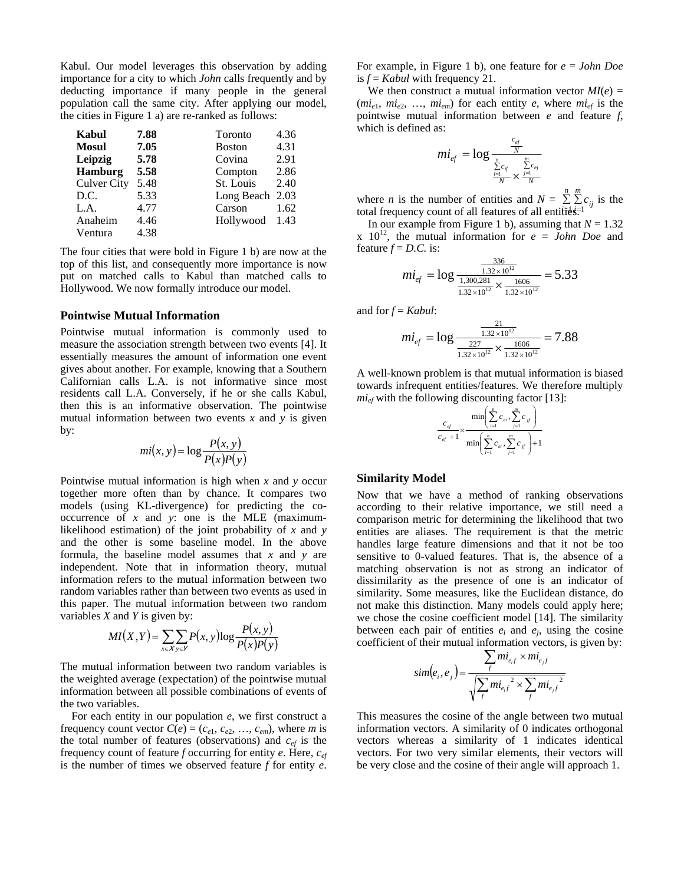Kabul. Our model leverages this observation by adding importance for a city to which *John* calls frequently and by deducting importance if many people in the general population call the same city. After applying our model, the cities in Figure 1 a) are re-ranked as follows:

| Kabul              | 7.88 | Toronto       | 4.36 |
|--------------------|------|---------------|------|
| <b>Mosul</b>       | 7.05 | <b>Boston</b> | 4.31 |
| Leipzig            | 5.78 | Covina        | 2.91 |
| <b>Hamburg</b>     | 5.58 | Compton       | 2.86 |
| <b>Culver City</b> | 5.48 | St. Louis     | 2.40 |
| D.C.               | 5.33 | Long Beach    | 2.03 |
| L.A.               | 4.77 | Carson        | 1.62 |
| Anaheim            | 4.46 | Hollywood     | 1.43 |
| Ventura            | 4.38 |               |      |

The four cities that were bold in Figure 1 b) are now at the top of this list, and consequently more importance is now put on matched calls to Kabul than matched calls to Hollywood. We now formally introduce our model.

#### **Pointwise Mutual Information**

Pointwise mutual information is commonly used to measure the association strength between two events [4]. It essentially measures the amount of information one event gives about another. For example, knowing that a Southern Californian calls L.A. is not informative since most residents call L.A. Conversely, if he or she calls Kabul, then this is an informative observation. The pointwise mutual information between two events *x* and *y* is given by:

$$
mi(x, y) = \log \frac{P(x, y)}{P(x)P(y)}
$$

Pointwise mutual information is high when *x* and *y* occur together more often than by chance. It compares two models (using KL-divergence) for predicting the cooccurrence of *x* and *y*: one is the MLE (maximumlikelihood estimation) of the joint probability of *x* and *y* and the other is some baseline model. In the above formula, the baseline model assumes that *x* and *y* are independent. Note that in information theory, mutual information refers to the mutual information between two random variables rather than between two events as used in this paper. The mutual information between two random variables *X* and *Y* is given by:

$$
MI(X,Y) = \sum_{x \in X} \sum_{y \in Y} P(x,y) \log \frac{P(x,y)}{P(x)P(y)}
$$

The mutual information between two random variables is the weighted average (expectation) of the pointwise mutual information between all possible combinations of events of the two variables.

For each entity in our population *e*, we first construct a frequency count vector  $C(e) = (c_{e1}, c_{e2}, \ldots, c_{em})$ , where *m* is the total number of features (observations) and  $c_{ef}$  is the frequency count of feature *f* occurring for entity *e*. Here, *cef* is the number of times we observed feature *f* for entity *e*.

For example, in Figure 1 b), one feature for *e* = *John Doe* is  $f =$  *Kabul* with frequency 21.

We then construct a mutual information vector  $MI(e)$  =  $(mi_{e1}, mi_{e2}, ..., mi_{em})$  for each entity *e*, where  $mi_{ef}$  is the pointwise mutual information between *e* and feature *f*, which is defined as:

$$
mi_{ef} = \log \frac{\frac{c_{ef}}{N}}{\frac{\sum\limits_{i=1}^{n} c_{if}}{N} \times \frac{\sum\limits_{j=1}^{m} c_{ej}}{N}}
$$

where *n* is the number of entities and  $N = \sum_{i=1}^{n} \sum_{j=1}^{m} c_{ij}$  is the total frequency count of all features of all entities total frequency count of all features of all entities<sup>-1</sup>

In our example from Figure 1 b), assuming that  $N = 1.32$ x  $10^{12}$ , the mutual information for  $e = John Doe$  and feature  $f = D.C.$  is:  $336$ 

$$
mi_{ef} = \log \frac{\frac{336}{1.32 \times 10^{12}}}{\frac{1,300,281}{1.32 \times 10^{12}} \times \frac{1606}{1.32 \times 10^{12}}} = 5.33
$$

and for *f* = *Kabul*:

$$
mi_{ef} = \log \frac{\frac{21}{1.32 \times 10^{12}}}{\frac{227}{1.32 \times 10^{12}} \times \frac{1606}{1.32 \times 10^{12}}} = 7.88
$$

A well-known problem is that mutual information is biased towards infrequent entities/features. We therefore multiply  $mi_{\text{ef}}$  with the following discounting factor [13]:

$$
\frac{c_{ef}}{c_{ef}+1} \times \frac{\min\left(\sum_{i=1}^{n} c_{ei}, \sum_{j=1}^{m} c_{j} \right)}{\min\left(\sum_{i=1}^{n} c_{ei}, \sum_{j=1}^{m} c_{j} \right)+1}
$$

#### **Similarity Model**

Now that we have a method of ranking observations according to their relative importance, we still need a comparison metric for determining the likelihood that two entities are aliases. The requirement is that the metric handles large feature dimensions and that it not be too sensitive to 0-valued features. That is, the absence of a matching observation is not as strong an indicator of dissimilarity as the presence of one is an indicator of similarity. Some measures, like the Euclidean distance, do not make this distinction. Many models could apply here; we chose the cosine coefficient model [14]. The similarity between each pair of entities  $e_i$  and  $e_j$ , using the cosine coefficient of their mutual information vectors, is given by:

$$
sim(e_i, e_j) = \frac{\sum_{f} mi_{e_i f} \times mi_{e_j f}}{\sqrt{\sum_{f} mi_{e_i f}^{2} \times \sum_{f} mi_{e_j f}^{2}}}
$$

This measures the cosine of the angle between two mutual information vectors. A similarity of 0 indicates orthogonal vectors whereas a similarity of 1 indicates identical vectors. For two very similar elements, their vectors will be very close and the cosine of their angle will approach 1.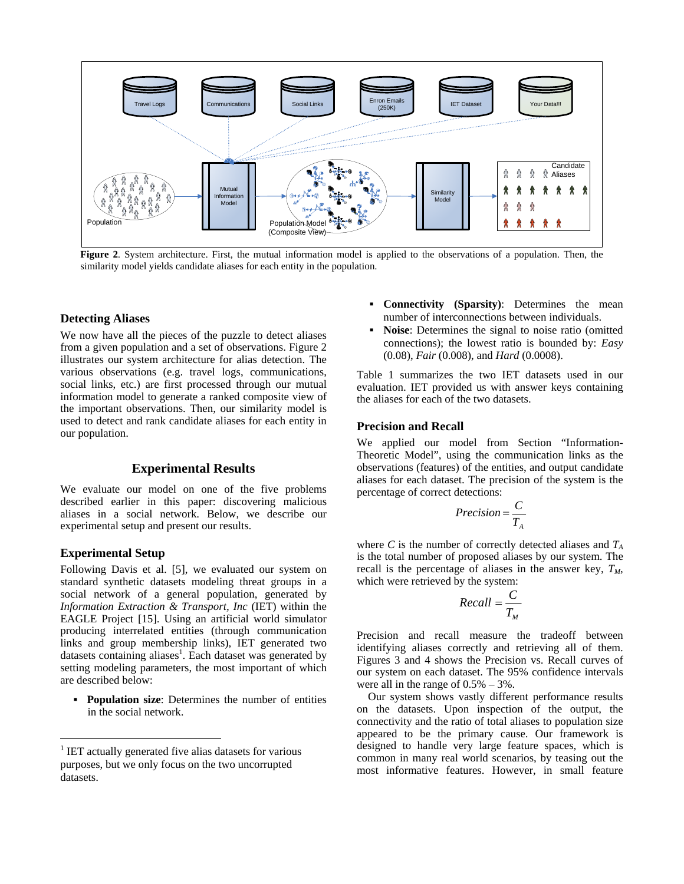

**Figure 2**. System architecture. First, the mutual information model is applied to the observations of a population. Then, the similarity model yields candidate aliases for each entity in the population.

### **Detecting Aliases**

We now have all the pieces of the puzzle to detect aliases from a given population and a set of observations. Figure 2 illustrates our system architecture for alias detection. The various observations (e.g. travel logs, communications, social links, etc.) are first processed through our mutual information model to generate a ranked composite view of the important observations. Then, our similarity model is used to detect and rank candidate aliases for each entity in our population.

### **Experimental Results**

We evaluate our model on one of the five problems described earlier in this paper: discovering malicious aliases in a social network. Below, we describe our experimental setup and present our results.

### **Experimental Setup**

 $\overline{a}$ 

Following Davis et al. [5], we evaluated our system on standard synthetic datasets modeling threat groups in a social network of a general population, generated by *Information Extraction & Transport, Inc* (IET) within the EAGLE Project [15]. Using an artificial world simulator producing interrelated entities (through communication links and group membership links), IET generated two datasets containing aliases<sup>1</sup>. Each dataset was generated by setting modeling parameters, the most important of which are described below:

**Population size:** Determines the number of entities in the social network.

- **Connectivity (Sparsity)**: Determines the mean number of interconnections between individuals.
- **Noise**: Determines the signal to noise ratio (omitted connections); the lowest ratio is bounded by: *Easy* (0.08), *Fair* (0.008), and *Hard* (0.0008).

Table 1 summarizes the two IET datasets used in our evaluation. IET provided us with answer keys containing the aliases for each of the two datasets.

# **Precision and Recall**

We applied our model from Section "Information-Theoretic Model", using the communication links as the observations (features) of the entities, and output candidate aliases for each dataset. The precision of the system is the percentage of correct detections:

$$
Precision = \frac{C}{T_A}
$$

where *C* is the number of correctly detected aliases and  $T_A$ is the total number of proposed aliases by our system. The recall is the percentage of aliases in the answer key,  $T_M$ , which were retrieved by the system:

$$
Recall = \frac{C}{T_M}
$$

Precision and recall measure the tradeoff between identifying aliases correctly and retrieving all of them. Figures 3 and 4 shows the Precision vs. Recall curves of our system on each dataset. The 95% confidence intervals were all in the range of  $0.5% - 3%$ .

Our system shows vastly different performance results on the datasets. Upon inspection of the output, the connectivity and the ratio of total aliases to population size appeared to be the primary cause. Our framework is designed to handle very large feature spaces, which is common in many real world scenarios, by teasing out the most informative features. However, in small feature

<sup>1</sup> IET actually generated five alias datasets for various purposes, but we only focus on the two uncorrupted datasets.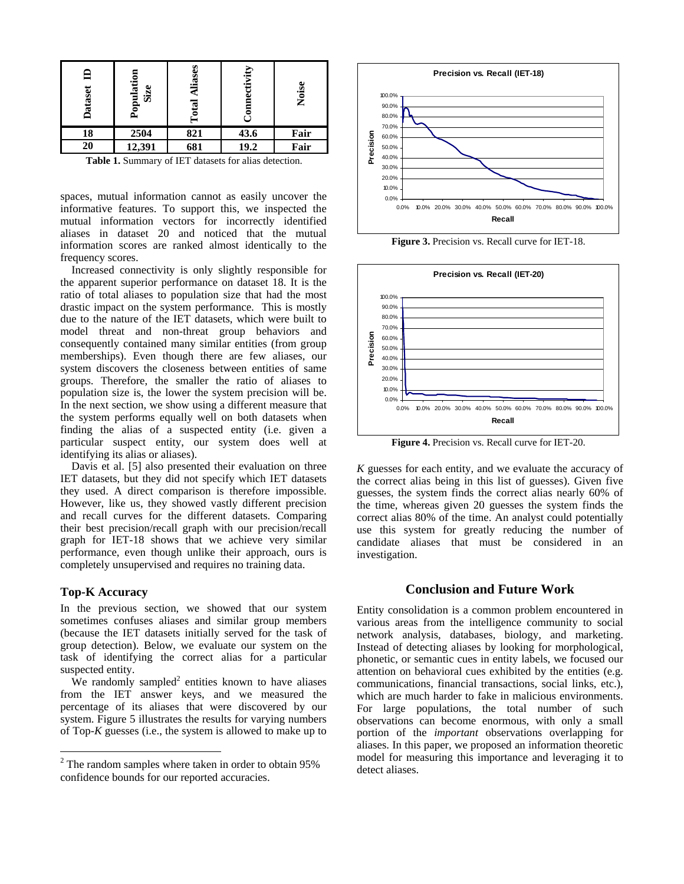| Dataset                                                      | opulation<br>Size | Alias<br>$\mathbf{a}$ | tivity | Nois |  |
|--------------------------------------------------------------|-------------------|-----------------------|--------|------|--|
| 18                                                           | 2504              | 821                   | 43.6   | Fair |  |
| 20                                                           | 12,391            | 681                   | 19.2   | Fair |  |
| <b>Table 1.</b> Summary of IET datasets for alias detection. |                   |                       |        |      |  |

spaces, mutual information cannot as easily uncover the informative features. To support this, we inspected the mutual information vectors for incorrectly identified aliases in dataset 20 and noticed that the mutual information scores are ranked almost identically to the frequency scores.

Increased connectivity is only slightly responsible for the apparent superior performance on dataset 18. It is the ratio of total aliases to population size that had the most drastic impact on the system performance. This is mostly due to the nature of the IET datasets, which were built to model threat and non-threat group behaviors and consequently contained many similar entities (from group memberships). Even though there are few aliases, our system discovers the closeness between entities of same groups. Therefore, the smaller the ratio of aliases to population size is, the lower the system precision will be. In the next section, we show using a different measure that the system performs equally well on both datasets when finding the alias of a suspected entity (i.e. given a particular suspect entity, our system does well at identifying its alias or aliases).

Davis et al. [5] also presented their evaluation on three IET datasets, but they did not specify which IET datasets they used. A direct comparison is therefore impossible. However, like us, they showed vastly different precision and recall curves for the different datasets. Comparing their best precision/recall graph with our precision/recall graph for IET-18 shows that we achieve very similar performance, even though unlike their approach, ours is completely unsupervised and requires no training data.

#### **Top-K Accuracy**

 $\overline{a}$ 

In the previous section, we showed that our system sometimes confuses aliases and similar group members (because the IET datasets initially served for the task of group detection). Below, we evaluate our system on the task of identifying the correct alias for a particular suspected entity.

We randomly sampled<sup>2</sup> entities known to have aliases from the IET answer keys, and we measured the percentage of its aliases that were discovered by our system. Figure 5 illustrates the results for varying numbers of Top-*K* guesses (i.e., the system is allowed to make up to



**Figure 3.** Precision vs. Recall curve for IET-18.



**Figure 4.** Precision vs. Recall curve for IET-20.

*K* guesses for each entity, and we evaluate the accuracy of the correct alias being in this list of guesses). Given five guesses, the system finds the correct alias nearly 60% of the time, whereas given 20 guesses the system finds the correct alias 80% of the time. An analyst could potentially use this system for greatly reducing the number of candidate aliases that must be considered in an investigation.

### **Conclusion and Future Work**

Entity consolidation is a common problem encountered in various areas from the intelligence community to social network analysis, databases, biology, and marketing. Instead of detecting aliases by looking for morphological, phonetic, or semantic cues in entity labels, we focused our attention on behavioral cues exhibited by the entities (e.g. communications, financial transactions, social links, etc.), which are much harder to fake in malicious environments. For large populations, the total number of such observations can become enormous, with only a small portion of the *important* observations overlapping for aliases. In this paper, we proposed an information theoretic model for measuring this importance and leveraging it to detect aliases.

 $2$  The random samples where taken in order to obtain 95% confidence bounds for our reported accuracies.